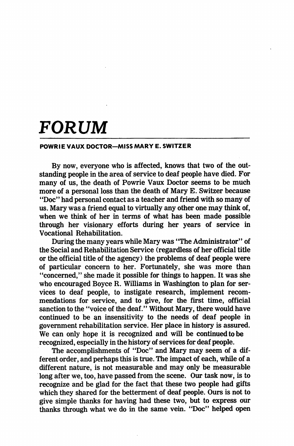## FORUM

## POWRIE VAUX DOCTOR—MISS MARY E. SWITZER

By now, everyone who is affected, knows that two of the out standing people in the area of service to deaf people have died. For many of us, the death of Powrie Vaux Doctor seems to be much more of a personal loss than the death of Mary E. Switzer because "Doc" had personal contact as a teacher and friend with so many of us. Mary was a friend equal to virtually any other one may think of, when we think of her in terms of what has been made possible through her visionary efforts during her years of service in Vocational Rehabilitation.

During the many years while Mary was "The Administrator" of the Social and Rehabilitation Service (regardless of her official title or the official title of the agency) the problems of deaf people were of particular concern to her. Fortunately, she was more than "concerned," she made it possible for things to happen. It was she who encouraged Boyce R. Williams in Washington to plan for ser vices to deaf people, to instigate research, implement recom mendations for service, and to give, for the first time, official sanction to the "voice of the deaf." Without Mary, there would have continued to be an insensitivity to the needs of deaf people in government rehabilitation service. Her place in history is assured. We can only hope it is recognized and will be continued to be recognized, especially in the history of services for deaf people.

The accomplishments of "Doc" and Mary may seem of a dif ferent order, and perhaps this is true. The impact of each, while of a different nature, is not measurable and may only be measurable long after we, too, have passed from the scene. Our task now, is to recognize and be glad for the fact that these two people had gifts which they shared for the betterment of deaf people. Ours is not to give simple thanks for having had these two, but to express our thanks through what we do in the same vein. "Doc" helped open